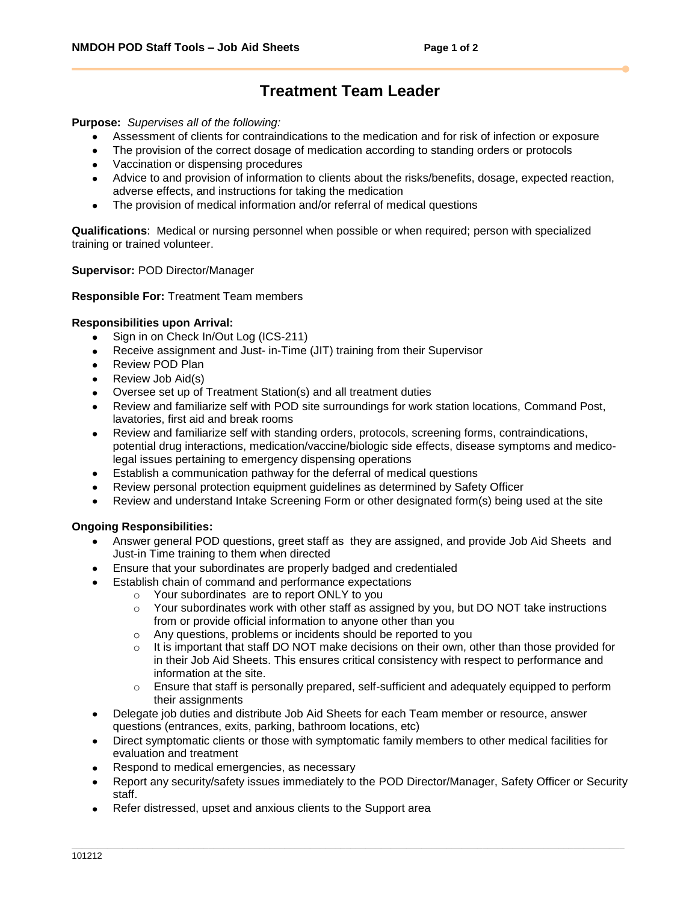# **Treatment Team Leader**

**Purpose:** *Supervises all of the following:*

- Assessment of clients for contraindications to the medication and for risk of infection or exposure
- The provision of the correct dosage of medication according to standing orders or protocols
- Vaccination or dispensing procedures
- Advice to and provision of information to clients about the risks/benefits, dosage, expected reaction, adverse effects, and instructions for taking the medication
- The provision of medical information and/or referral of medical questions  $\bullet$

**Qualifications**: Medical or nursing personnel when possible or when required; person with specialized training or trained volunteer.

**Supervisor:** POD Director/Manager

### **Responsible For:** Treatment Team members

## **Responsibilities upon Arrival:**

- Sign in on Check In/Out Log (ICS-211)
- Receive assignment and Just- in-Time (JIT) training from their Supervisor  $\bullet$
- Review POD Plan
- Review Job Aid(s)
- Oversee set up of Treatment Station(s) and all treatment duties
- Review and familiarize self with POD site surroundings for work station locations, Command Post, lavatories, first aid and break rooms
- Review and familiarize self with standing orders, protocols, screening forms, contraindications, potential drug interactions, medication/vaccine/biologic side effects, disease symptoms and medicolegal issues pertaining to emergency dispensing operations
- Establish a communication pathway for the deferral of medical questions
- Review personal protection equipment guidelines as determined by Safety Officer
- Review and understand Intake Screening Form or other designated form(s) being used at the site

### **Ongoing Responsibilities:**

- Answer general POD questions, greet staff as they are assigned, and provide Job Aid Sheets and Just-in Time training to them when directed
- Ensure that your subordinates are properly badged and credentialed
	- Establish chain of command and performance expectations
		- o Your subordinates are to report ONLY to you
			- $\circ$  Your subordinates work with other staff as assigned by you, but DO NOT take instructions from or provide official information to anyone other than you
			- o Any questions, problems or incidents should be reported to you
			- $\circ$  It is important that staff DO NOT make decisions on their own, other than those provided for in their Job Aid Sheets. This ensures critical consistency with respect to performance and information at the site.
			- $\circ$  Ensure that staff is personally prepared, self-sufficient and adequately equipped to perform their assignments
- Delegate job duties and distribute Job Aid Sheets for each Team member or resource, answer questions (entrances, exits, parking, bathroom locations, etc)
- Direct symptomatic clients or those with symptomatic family members to other medical facilities for evaluation and treatment
- Respond to medical emergencies, as necessary
- Report any security/safety issues immediately to the POD Director/Manager, Safety Officer or Security staff.
- Refer distressed, upset and anxious clients to the Support area